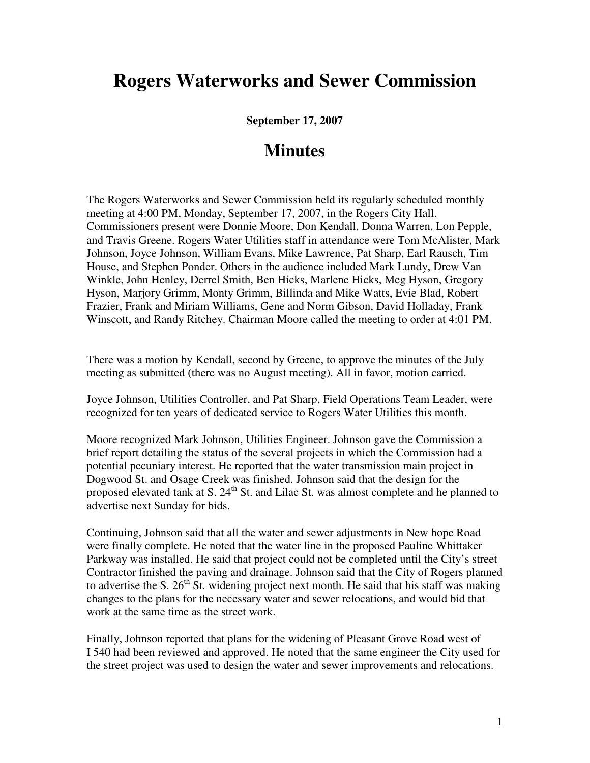## **Rogers Waterworks and Sewer Commission**

**September 17, 2007** 

## **Minutes**

The Rogers Waterworks and Sewer Commission held its regularly scheduled monthly meeting at 4:00 PM, Monday, September 17, 2007, in the Rogers City Hall. Commissioners present were Donnie Moore, Don Kendall, Donna Warren, Lon Pepple, and Travis Greene. Rogers Water Utilities staff in attendance were Tom McAlister, Mark Johnson, Joyce Johnson, William Evans, Mike Lawrence, Pat Sharp, Earl Rausch, Tim House, and Stephen Ponder. Others in the audience included Mark Lundy, Drew Van Winkle, John Henley, Derrel Smith, Ben Hicks, Marlene Hicks, Meg Hyson, Gregory Hyson, Marjory Grimm, Monty Grimm, Billinda and Mike Watts, Evie Blad, Robert Frazier, Frank and Miriam Williams, Gene and Norm Gibson, David Holladay, Frank Winscott, and Randy Ritchey. Chairman Moore called the meeting to order at 4:01 PM.

There was a motion by Kendall, second by Greene, to approve the minutes of the July meeting as submitted (there was no August meeting). All in favor, motion carried.

Joyce Johnson, Utilities Controller, and Pat Sharp, Field Operations Team Leader, were recognized for ten years of dedicated service to Rogers Water Utilities this month.

Moore recognized Mark Johnson, Utilities Engineer. Johnson gave the Commission a brief report detailing the status of the several projects in which the Commission had a potential pecuniary interest. He reported that the water transmission main project in Dogwood St. and Osage Creek was finished. Johnson said that the design for the proposed elevated tank at S.  $24<sup>th</sup>$  St. and Lilac St. was almost complete and he planned to advertise next Sunday for bids.

Continuing, Johnson said that all the water and sewer adjustments in New hope Road were finally complete. He noted that the water line in the proposed Pauline Whittaker Parkway was installed. He said that project could not be completed until the City's street Contractor finished the paving and drainage. Johnson said that the City of Rogers planned to advertise the S.  $26<sup>th</sup>$  St. widening project next month. He said that his staff was making changes to the plans for the necessary water and sewer relocations, and would bid that work at the same time as the street work.

Finally, Johnson reported that plans for the widening of Pleasant Grove Road west of I 540 had been reviewed and approved. He noted that the same engineer the City used for the street project was used to design the water and sewer improvements and relocations.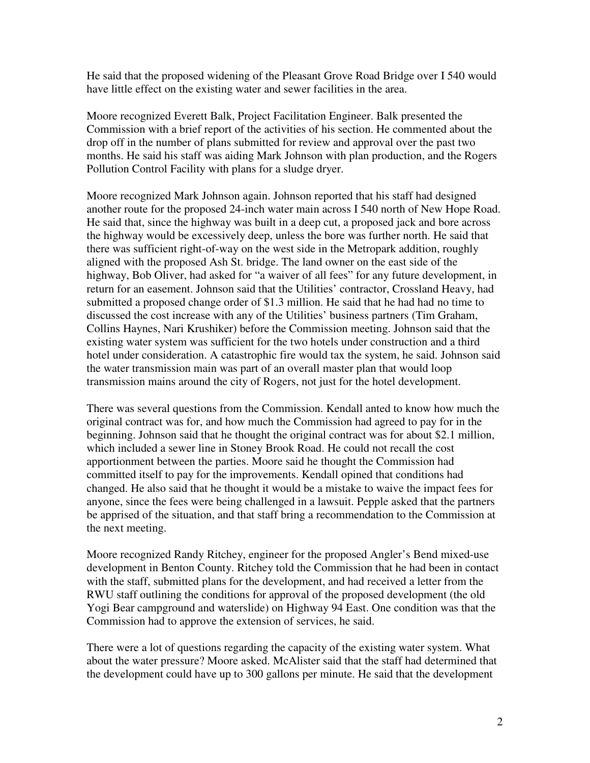He said that the proposed widening of the Pleasant Grove Road Bridge over I 540 would have little effect on the existing water and sewer facilities in the area.

Moore recognized Everett Balk, Project Facilitation Engineer. Balk presented the Commission with a brief report of the activities of his section. He commented about the drop off in the number of plans submitted for review and approval over the past two months. He said his staff was aiding Mark Johnson with plan production, and the Rogers Pollution Control Facility with plans for a sludge dryer.

Moore recognized Mark Johnson again. Johnson reported that his staff had designed another route for the proposed 24-inch water main across I 540 north of New Hope Road. He said that, since the highway was built in a deep cut, a proposed jack and bore across the highway would be excessively deep, unless the bore was further north. He said that there was sufficient right-of-way on the west side in the Metropark addition, roughly aligned with the proposed Ash St. bridge. The land owner on the east side of the highway, Bob Oliver, had asked for "a waiver of all fees" for any future development, in return for an easement. Johnson said that the Utilities' contractor, Crossland Heavy, had submitted a proposed change order of \$1.3 million. He said that he had had no time to discussed the cost increase with any of the Utilities' business partners (Tim Graham, Collins Haynes, Nari Krushiker) before the Commission meeting. Johnson said that the existing water system was sufficient for the two hotels under construction and a third hotel under consideration. A catastrophic fire would tax the system, he said. Johnson said the water transmission main was part of an overall master plan that would loop transmission mains around the city of Rogers, not just for the hotel development.

There was several questions from the Commission. Kendall anted to know how much the original contract was for, and how much the Commission had agreed to pay for in the beginning. Johnson said that he thought the original contract was for about \$2.1 million, which included a sewer line in Stoney Brook Road. He could not recall the cost apportionment between the parties. Moore said he thought the Commission had committed itself to pay for the improvements. Kendall opined that conditions had changed. He also said that he thought it would be a mistake to waive the impact fees for anyone, since the fees were being challenged in a lawsuit. Pepple asked that the partners be apprised of the situation, and that staff bring a recommendation to the Commission at the next meeting.

Moore recognized Randy Ritchey, engineer for the proposed Angler's Bend mixed-use development in Benton County. Ritchey told the Commission that he had been in contact with the staff, submitted plans for the development, and had received a letter from the RWU staff outlining the conditions for approval of the proposed development (the old Yogi Bear campground and waterslide) on Highway 94 East. One condition was that the Commission had to approve the extension of services, he said.

There were a lot of questions regarding the capacity of the existing water system. What about the water pressure? Moore asked. McAlister said that the staff had determined that the development could have up to 300 gallons per minute. He said that the development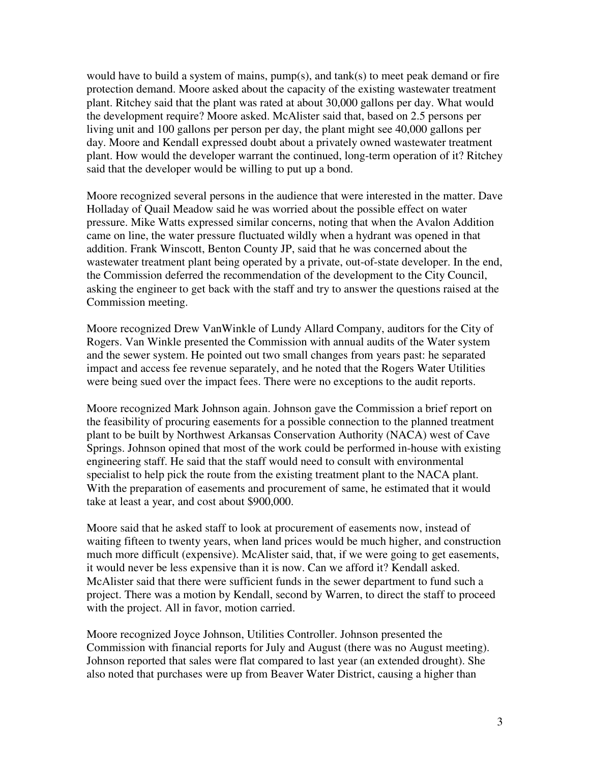would have to build a system of mains, pump(s), and tank(s) to meet peak demand or fire protection demand. Moore asked about the capacity of the existing wastewater treatment plant. Ritchey said that the plant was rated at about 30,000 gallons per day. What would the development require? Moore asked. McAlister said that, based on 2.5 persons per living unit and 100 gallons per person per day, the plant might see 40,000 gallons per day. Moore and Kendall expressed doubt about a privately owned wastewater treatment plant. How would the developer warrant the continued, long-term operation of it? Ritchey said that the developer would be willing to put up a bond.

Moore recognized several persons in the audience that were interested in the matter. Dave Holladay of Quail Meadow said he was worried about the possible effect on water pressure. Mike Watts expressed similar concerns, noting that when the Avalon Addition came on line, the water pressure fluctuated wildly when a hydrant was opened in that addition. Frank Winscott, Benton County JP, said that he was concerned about the wastewater treatment plant being operated by a private, out-of-state developer. In the end, the Commission deferred the recommendation of the development to the City Council, asking the engineer to get back with the staff and try to answer the questions raised at the Commission meeting.

Moore recognized Drew VanWinkle of Lundy Allard Company, auditors for the City of Rogers. Van Winkle presented the Commission with annual audits of the Water system and the sewer system. He pointed out two small changes from years past: he separated impact and access fee revenue separately, and he noted that the Rogers Water Utilities were being sued over the impact fees. There were no exceptions to the audit reports.

Moore recognized Mark Johnson again. Johnson gave the Commission a brief report on the feasibility of procuring easements for a possible connection to the planned treatment plant to be built by Northwest Arkansas Conservation Authority (NACA) west of Cave Springs. Johnson opined that most of the work could be performed in-house with existing engineering staff. He said that the staff would need to consult with environmental specialist to help pick the route from the existing treatment plant to the NACA plant. With the preparation of easements and procurement of same, he estimated that it would take at least a year, and cost about \$900,000.

Moore said that he asked staff to look at procurement of easements now, instead of waiting fifteen to twenty years, when land prices would be much higher, and construction much more difficult (expensive). McAlister said, that, if we were going to get easements, it would never be less expensive than it is now. Can we afford it? Kendall asked. McAlister said that there were sufficient funds in the sewer department to fund such a project. There was a motion by Kendall, second by Warren, to direct the staff to proceed with the project. All in favor, motion carried.

Moore recognized Joyce Johnson, Utilities Controller. Johnson presented the Commission with financial reports for July and August (there was no August meeting). Johnson reported that sales were flat compared to last year (an extended drought). She also noted that purchases were up from Beaver Water District, causing a higher than